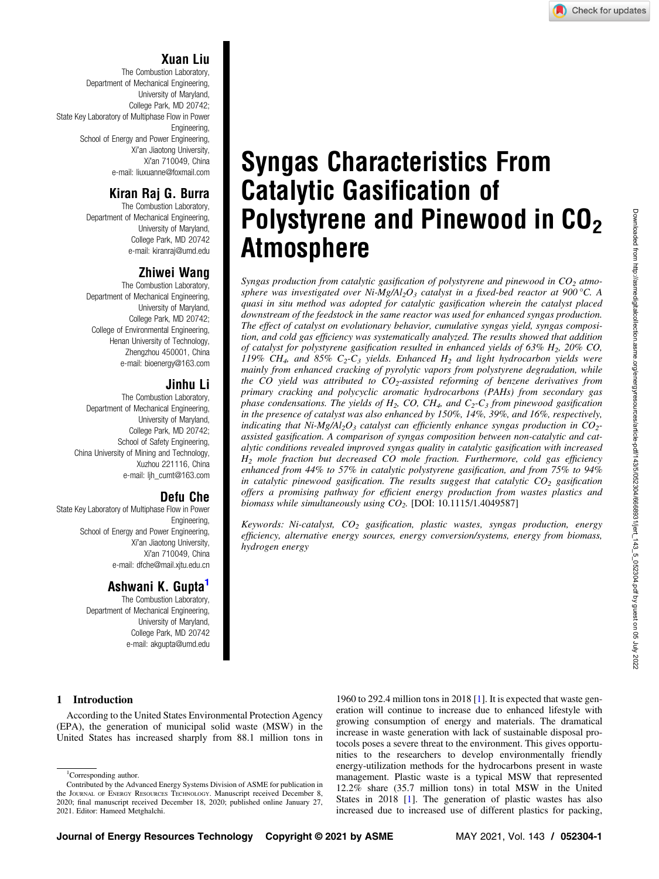# Xuan Liu

The Combustion Laboratory, Department of Mechanical Engineering, University of Maryland, College Park, MD 20742; State Key Laboratory of Multiphase Flow in Power Engineering, School of Energy and Power Engineering, Xi'an Jiaotong University, Xi'an 710049, China e-mail: [liuxuanne@foxmail.com](mailto:liuxuanne@foxmail.com)

# Kiran Raj G. Burra

The Combustion Laboratory, Department of Mechanical Engineering, University of Maryland, College Park, MD 20742 e-mail: [kiranraj@umd.edu](mailto:kiranraj@umd.edu)

# Zhiwei Wang

The Combustion Laboratory, Department of Mechanical Engineering, University of Maryland, College Park, MD 20742; College of Environmental Engineering, Henan University of Technology, Zhengzhou 450001, China e-mail: [bioenergy@163.com](mailto:bioenergy@163.com)

## Jinhu Li

The Combustion Laboratory, Department of Mechanical Engineering, University of Maryland, College Park, MD 20742; School of Safety Engineering, China University of Mining and Technology, Xuzhou 221116, China e-mail: [ljh\\_cumt@163.com](mailto:ljh_cumt@163.com)

# Defu Che

State Key Laboratory of Multiphase Flow in Power Engineering, School of Energy and Power Engineering, Xi'an Jiaotong University, Xi'an 710049, China e-mail: [dfche@mail.xjtu.edu.cn](mailto:dfche@mail.xjtu.edu.cn)

# Ashwani K. Gupta'

The Combustion Laboratory, Department of Mechanical Engineering, University of Maryland, College Park, MD 20742 e-mail: [akgupta@umd.edu](mailto:akgupta@umd.edu)

# Syngas Characteristics From Catalytic Gasification of Polystyrene and Pinewood in  $CO<sub>2</sub>$ Atmosphere

Syngas production from catalytic gasification of polystyrene and pinewood in  $CO<sub>2</sub>$  atmosphere was investigated over Ni-Mg/Al<sub>2</sub>O<sub>3</sub> catalyst in a fixed-bed reactor at 900 °C. A quasi in situ method was adopted for catalytic gasification wherein the catalyst placed downstream of the feedstock in the same reactor was used for enhanced syngas production. The effect of catalyst on evolutionary behavior, cumulative syngas yield, syngas composition, and cold gas efficiency was systematically analyzed. The results showed that addition of catalyst for polystyrene gasification resulted in enhanced yields of  $63\%$  H<sub>2</sub>,  $20\%$  CO, 119% CH<sub>4</sub>, and 85% C<sub>2</sub>-C<sub>3</sub> yields. Enhanced H<sub>2</sub> and light hydrocarbon yields were mainly from enhanced cracking of pyrolytic vapors from polystyrene degradation, while the CO yield was attributed to  $CO_2$ -assisted reforming of benzene derivatives from primary cracking and polycyclic aromatic hydrocarbons (PAHs) from secondary gas phase condensations. The yields of  $H_2$ , CO, CH<sub>4</sub>, and  $C_2$ -C<sub>3</sub> from pinewood gasification in the presence of catalyst was also enhanced by 150%, 14%, 39%, and 16%, respectively, indicating that Ni-Mg/Al<sub>2</sub>O<sub>3</sub> catalyst can efficiently enhance syngas production in  $CO<sub>2</sub>$ assisted gasification. A comparison of syngas composition between non-catalytic and catalytic conditions revealed improved syngas quality in catalytic gasification with increased  $H_2$  mole fraction but decreased CO mole fraction. Furthermore, cold gas efficiency enhanced from 44% to 57% in catalytic polystyrene gasification, and from 75% to 94% in catalytic pinewood gasification. The results suggest that catalytic  $CO_2$  gasification offers a promising pathway for efficient energy production from wastes plastics and biomass while simultaneously using  $CO<sub>2</sub>$ . [DOI: 10.1115/1.4049587]

Keywords: Ni-catalyst,  $CO<sub>2</sub>$  gasification, plastic wastes, syngas production, energy efficiency, alternative energy sources, energy conversion/systems, energy from biomass, hydrogen energy

## 1 Introduction

According to the United States Environmental Protection Agency (EPA), the generation of municipal solid waste (MSW) in the United States has increased sharply from 88.1 million tons in

<sup>1</sup>Corresponding author.

1960 to 292.4 million tons in 2018 [[1](#page-8-0)]. It is expected that waste generation will continue to increase due to enhanced lifestyle with growing consumption of energy and materials. The dramatical increase in waste generation with lack of sustainable disposal protocols poses a severe threat to the environment. This gives opportunities to the researchers to develop environmentally friendly energy-utilization methods for the hydrocarbons present in waste management. Plastic waste is a typical MSW that represented 12.2% share (35.7 million tons) in total MSW in the United States in 2018 [[1](#page-8-0)]. The generation of plastic wastes has also increased due to increased use of different plastics for packing,

Contributed by the Advanced Energy Systems Division of ASME for publication in the JOURNAL OF ENERGY RESOURCES TECHNOLOGY. Manuscript received December 8, 2020; final manuscript received December 18, 2020; published online January 27, 2021. Editor: Hameed Metghalchi.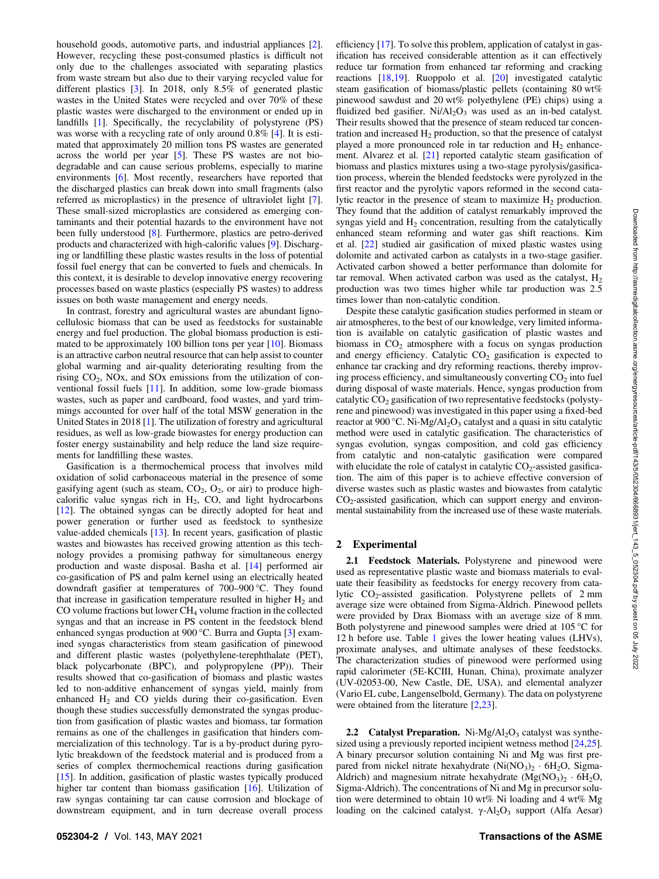household goods, automotive parts, and industrial appliances [\[2\]](#page-8-0). However, recycling these post-consumed plastics is difficult not only due to the challenges associated with separating plastics from waste stream but also due to their varying recycled value for different plastics [[3](#page-8-0)]. In 2018, only 8.5% of generated plastic wastes in the United States were recycled and over 70% of these plastic wastes were discharged to the environment or ended up in landfills [[1](#page-8-0)]. Specifically, the recyclability of polystyrene (PS) was worse with a recycling rate of only around 0.8% [\[4\]](#page-8-0). It is estimated that approximately 20 million tons PS wastes are generated across the world per year [[5](#page-8-0)]. These PS wastes are not biodegradable and can cause serious problems, especially to marine environments [[6](#page-8-0)]. Most recently, researchers have reported that the discharged plastics can break down into small fragments (also referred as microplastics) in the presence of ultraviolet light [\[7\]](#page-8-0). These small-sized microplastics are considered as emerging contaminants and their potential hazards to the environment have not been fully understood [[8](#page-8-0)]. Furthermore, plastics are petro-derived products and characterized with high-calorific values [\[9\]](#page-8-0). Discharging or landfilling these plastic wastes results in the loss of potential fossil fuel energy that can be converted to fuels and chemicals. In this context, it is desirable to develop innovative energy recovering processes based on waste plastics (especially PS wastes) to address issues on both waste management and energy needs.

In contrast, forestry and agricultural wastes are abundant lignocellulosic biomass that can be used as feedstocks for sustainable energy and fuel production. The global biomass production is estimated to be approximately 100 billion tons per year [[10\]](#page-8-0). Biomass is an attractive carbon neutral resource that can help assist to counter global warming and air-quality deteriorating resulting from the rising  $CO<sub>2</sub>$ , NOx, and SOx emissions from the utilization of conventional fossil fuels [[11\]](#page-8-0). In addition, some low-grade biomass wastes, such as paper and cardboard, food wastes, and yard trimmings accounted for over half of the total MSW generation in the United States in 2018 [[1](#page-8-0)]. The utilization of forestry and agricultural residues, as well as low-grade biowastes for energy production can foster energy sustainability and help reduce the land size requirements for landfilling these wastes.

Gasification is a thermochemical process that involves mild oxidation of solid carbonaceous material in the presence of some gasifying agent (such as steam,  $CO<sub>2</sub>$ ,  $O<sub>2</sub>$ , or air) to produce highcalorific value syngas rich in  $H_2$ , CO, and light hydrocarbons [[12\]](#page-8-0). The obtained syngas can be directly adopted for heat and power generation or further used as feedstock to synthesize value-added chemicals [[13\]](#page-8-0). In recent years, gasification of plastic wastes and biowastes has received growing attention as this technology provides a promising pathway for simultaneous energy production and waste disposal. Basha et al. [\[14](#page-8-0)] performed air co-gasification of PS and palm kernel using an electrically heated downdraft gasifier at temperatures of 700–900 °C. They found that increase in gasification temperature resulted in higher  $H_2$  and CO volume fractions but lower CH4 volume fraction in the collected syngas and that an increase in PS content in the feedstock blend enhanced syngas production at 900 °C. Burra and Gupta [[3](#page-8-0)] examined syngas characteristics from steam gasification of pinewood and different plastic wastes (polyethylene-terephthalate (PET), black polycarbonate (BPC), and polypropylene (PP)). Their results showed that co-gasification of biomass and plastic wastes led to non-additive enhancement of syngas yield, mainly from enhanced  $H_2$  and CO yields during their co-gasification. Even though these studies successfully demonstrated the syngas production from gasification of plastic wastes and biomass, tar formation remains as one of the challenges in gasification that hinders commercialization of this technology. Tar is a by-product during pyrolytic breakdown of the feedstock material and is produced from a series of complex thermochemical reactions during gasification [[15\]](#page-8-0). In addition, gasification of plastic wastes typically produced higher tar content than biomass gasification [\[16](#page-8-0)]. Utilization of raw syngas containing tar can cause corrosion and blockage of downstream equipment, and in turn decrease overall process

efficiency [[17\]](#page-8-0). To solve this problem, application of catalyst in gasification has received considerable attention as it can effectively reduce tar formation from enhanced tar reforming and cracking reactions [[18,19](#page-8-0)]. Ruoppolo et al. [\[20](#page-8-0)] investigated catalytic steam gasification of biomass/plastic pellets (containing 80 wt% pinewood sawdust and 20 wt% polyethylene (PE) chips) using a fluidized bed gasifier.  $Ni/Al<sub>2</sub>O<sub>3</sub>$  was used as an in-bed catalyst. Their results showed that the presence of steam reduced tar concentration and increased  $H_2$  production, so that the presence of catalyst played a more pronounced role in tar reduction and  $H_2$  enhancement. Alvarez et al. [[21\]](#page-8-0) reported catalytic steam gasification of biomass and plastics mixtures using a two-stage pyrolysis/gasification process, wherein the blended feedstocks were pyrolyzed in the first reactor and the pyrolytic vapors reformed in the second catalytic reactor in the presence of steam to maximize  $H_2$  production. They found that the addition of catalyst remarkably improved the syngas yield and  $H_2$  concentration, resulting from the catalytically enhanced steam reforming and water gas shift reactions. Kim et al. [[22\]](#page-8-0) studied air gasification of mixed plastic wastes using dolomite and activated carbon as catalysts in a two-stage gasifier. Activated carbon showed a better performance than dolomite for tar removal. When activated carbon was used as the catalyst,  $H_2$ production was two times higher while tar production was 2.5 times lower than non-catalytic condition.

Despite these catalytic gasification studies performed in steam or air atmospheres, to the best of our knowledge, very limited information is available on catalytic gasification of plastic wastes and biomass in  $CO<sub>2</sub>$  atmosphere with a focus on syngas production and energy efficiency. Catalytic  $CO<sub>2</sub>$  gasification is expected to enhance tar cracking and dry reforming reactions, thereby improving process efficiency, and simultaneously converting  $CO<sub>2</sub>$  into fuel during disposal of waste materials. Hence, syngas production from catalytic  $CO<sub>2</sub>$  gasification of two representative feedstocks (polystyrene and pinewood) was investigated in this paper using a fixed-bed reactor at 900 °C. Ni-Mg/Al<sub>2</sub>O<sub>3</sub> catalyst and a quasi in situ catalytic method were used in catalytic gasification. The characteristics of syngas evolution, syngas composition, and cold gas efficiency from catalytic and non-catalytic gasification were compared with elucidate the role of catalyst in catalytic  $CO<sub>2</sub>$ -assisted gasification. The aim of this paper is to achieve effective conversion of diverse wastes such as plastic wastes and biowastes from catalytic  $CO<sub>2</sub>$ -assisted gasification, which can support energy and environmental sustainability from the increased use of these waste materials.

## 2 Experimental

2.1 Feedstock Materials. Polystyrene and pinewood were used as representative plastic waste and biomass materials to evaluate their feasibility as feedstocks for energy recovery from catalytic  $CO_2$ -assisted gasification. Polystyrene pellets of 2 mm average size were obtained from Sigma-Aldrich. Pinewood pellets were provided by Drax Biomass with an average size of 8 mm. Both polystyrene and pinewood samples were dried at 105 °C for 12 h before use. Table [1](#page-2-0) gives the lower heating values (LHVs), proximate analyses, and ultimate analyses of these feedstocks. The characterization studies of pinewood were performed using rapid calorimeter (5E-KCIII, Hunan, China), proximate analyzer (UV-02053-00, New Castle, DE, USA), and elemental analyzer (Vario EL cube, Langenselbold, Germany). The data on polystyrene were obtained from the literature [\[2,23](#page-8-0)].

2.2 Catalyst Preparation. Ni-Mg/Al<sub>2</sub>O<sub>3</sub> catalyst was synthesized using a previously reported incipient wetness method [[24,25\]](#page-8-0). A binary precursor solution containing Ni and Mg was first prepared from nickel nitrate hexahydrate  $(Ni(NO<sub>3</sub>)<sub>2</sub> · 6H<sub>2</sub>O, Sigma-$ Aldrich) and magnesium nitrate hexahydrate  $(MgNO_3)_{2} \cdot 6H_2O$ , Sigma-Aldrich). The concentrations of Ni and Mg in precursor solution were determined to obtain 10 wt% Ni loading and 4 wt% Mg loading on the calcined catalyst.  $\gamma$ -Al<sub>2</sub>O<sub>3</sub> support (Alfa Aesar)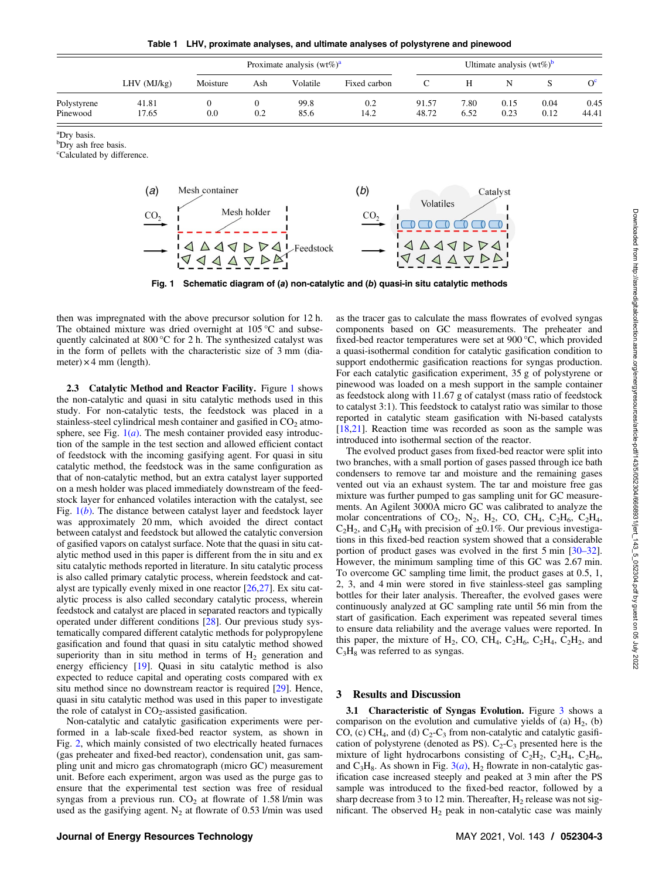Table 1 LHV, proximate analyses, and ultimate analyses of polystyrene and pinewood

<span id="page-2-0"></span>

|                         | $LHV$ ( $MJ/kg$ ) | Proximate analysis $(wt\%)^a$ |     |              |              | Ultimate analysis $(wt\%)^b$ |              |              |              |               |
|-------------------------|-------------------|-------------------------------|-----|--------------|--------------|------------------------------|--------------|--------------|--------------|---------------|
|                         |                   | Moisture                      | Ash | Volatile     | Fixed carbon |                              | H            |              |              | O°            |
| Polystyrene<br>Pinewood | 41.81<br>17.65    | 0.0                           | 0.2 | 99.8<br>85.6 | 0.2<br>14.2  | 91.57<br>48.72               | 7.80<br>6.52 | 0.15<br>0.23 | 0.04<br>0.12 | 0.45<br>44.41 |

<sup>a</sup>Dry basis.

<sup>b</sup>Dry ash free basis.

<sup>c</sup>Calculated by difference.



Fig. 1 Schematic diagram of (a) non-catalytic and (b) quasi-in situ catalytic methods

then was impregnated with the above precursor solution for 12 h. The obtained mixture was dried overnight at 105 °C and subsequently calcinated at 800 °C for 2 h. The synthesized catalyst was in the form of pellets with the characteristic size of 3 mm (diameter)  $\times$  4 mm (length).

2.3 Catalytic Method and Reactor Facility. Figure 1 shows the non-catalytic and quasi in situ catalytic methods used in this study. For non-catalytic tests, the feedstock was placed in a stainless-steel cylindrical mesh container and gasified in  $CO<sub>2</sub>$  atmosphere, see Fig.  $1(a)$ . The mesh container provided easy introduction of the sample in the test section and allowed efficient contact of feedstock with the incoming gasifying agent. For quasi in situ catalytic method, the feedstock was in the same configuration as that of non-catalytic method, but an extra catalyst layer supported on a mesh holder was placed immediately downstream of the feedstock layer for enhanced volatiles interaction with the catalyst, see Fig.  $1(b)$ . The distance between catalyst layer and feedstock layer was approximately 20 mm, which avoided the direct contact between catalyst and feedstock but allowed the catalytic conversion of gasified vapors on catalyst surface. Note that the quasi in situ catalytic method used in this paper is different from the in situ and ex situ catalytic methods reported in literature. In situ catalytic process is also called primary catalytic process, wherein feedstock and catalyst are typically evenly mixed in one reactor [\[26](#page-8-0),[27\]](#page-8-0). Ex situ catalytic process is also called secondary catalytic process, wherein feedstock and catalyst are placed in separated reactors and typically operated under different conditions [\[28\]](#page-8-0). Our previous study systematically compared different catalytic methods for polypropylene gasification and found that quasi in situ catalytic method showed superiority than in situ method in terms of  $H<sub>2</sub>$  generation and energy efficiency [\[19](#page-8-0)]. Quasi in situ catalytic method is also expected to reduce capital and operating costs compared with ex situ method since no downstream reactor is required [[29\]](#page-8-0). Hence, quasi in situ catalytic method was used in this paper to investigate the role of catalyst in  $CO<sub>2</sub>$ -assisted gasification.

Non-catalytic and catalytic gasification experiments were performed in a lab-scale fixed-bed reactor system, as shown in Fig. [2,](#page-3-0) which mainly consisted of two electrically heated furnaces (gas preheater and fixed-bed reactor), condensation unit, gas sampling unit and micro gas chromatograph (micro GC) measurement unit. Before each experiment, argon was used as the purge gas to ensure that the experimental test section was free of residual syngas from a previous run.  $CO<sub>2</sub>$  at flowrate of 1.58 l/min was used as the gasifying agent.  $N_2$  at flowrate of 0.53 l/min was used as the tracer gas to calculate the mass flowrates of evolved syngas components based on GC measurements. The preheater and fixed-bed reactor temperatures were set at 900 °C, which provided a quasi-isothermal condition for catalytic gasification condition to support endothermic gasification reactions for syngas production. For each catalytic gasification experiment, 35 g of polystyrene or pinewood was loaded on a mesh support in the sample container as feedstock along with 11.67 g of catalyst (mass ratio of feedstock to catalyst 3:1). This feedstock to catalyst ratio was similar to those reported in catalytic steam gasification with Ni-based catalysts [[18,21](#page-8-0)]. Reaction time was recorded as soon as the sample was introduced into isothermal section of the reactor.

The evolved product gases from fixed-bed reactor were split into two branches, with a small portion of gases passed through ice bath condensers to remove tar and moisture and the remaining gases vented out via an exhaust system. The tar and moisture free gas mixture was further pumped to gas sampling unit for GC measurements. An Agilent 3000A micro GC was calibrated to analyze the molar concentrations of  $CO_2$ , N<sub>2</sub>, H<sub>2</sub>, CO, CH<sub>4</sub>, C<sub>2</sub>H<sub>6</sub>, C<sub>2</sub>H<sub>4</sub>,  $C_2H_2$ , and  $C_3H_8$  with precision of  $\pm 0.1\%$ . Our previous investigations in this fixed-bed reaction system showed that a considerable portion of product gases was evolved in the first 5 min [30–32]. However, the minimum sampling time of this GC was 2.67 min. To overcome GC sampling time limit, the product gases at 0.5, 1, 2, 3, and 4 min were stored in five stainless-steel gas sampling bottles for their later analysis. Thereafter, the evolved gases were continuously analyzed at GC sampling rate until 56 min from the start of gasification. Each experiment was repeated several times to ensure data reliability and the average values were reported. In this paper, the mixture of  $H_2$ , CO, CH<sub>4</sub>, C<sub>2</sub>H<sub>6</sub>, C<sub>2</sub>H<sub>4</sub>, C<sub>2</sub>H<sub>2</sub>, and  $C_3H_8$  was referred to as syngas.

## 3 Results and Discussion

3.1 Characteristic of Syngas Evolution. Figure [3](#page-3-0) shows a comparison on the evolution and cumulative yields of (a)  $H_2$ , (b) CO, (c) CH<sub>4</sub>, and (d)  $C_2-C_3$  from non-catalytic and catalytic gasification of polystyrene (denoted as PS).  $C_2$ - $C_3$  presented here is the mixture of light hydrocarbons consisting of  $C_2H_2$ ,  $C_2H_4$ ,  $C_2H_6$ , and  $C_3H_8$ . As shown in Fig.  $3(a)$  $3(a)$ , H<sub>2</sub> flowrate in non-catalytic gasification case increased steeply and peaked at 3 min after the PS sample was introduced to the fixed-bed reactor, followed by a sharp decrease from 3 to 12 min. Thereafter,  $H_2$  release was not significant. The observed  $H_2$  peak in non-catalytic case was mainly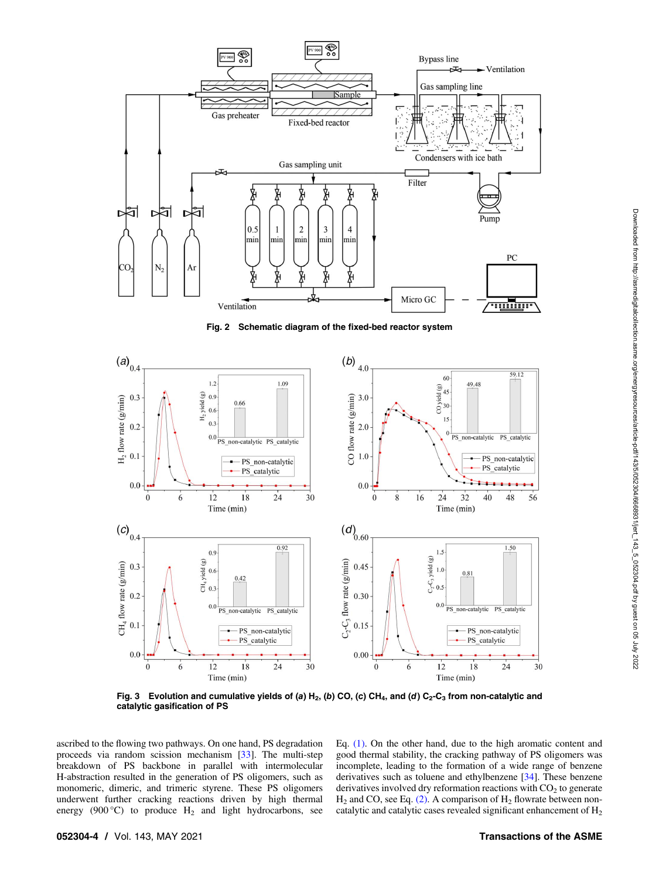<span id="page-3-0"></span>

Fig. 2 Schematic diagram of the fixed-bed reactor system



Fig. 3 Evolution and cumulative yields of (a) H<sub>2</sub>, (b) CO, (c) CH<sub>4</sub>, and (d) C<sub>2</sub>-C<sub>3</sub> from non-catalytic and catalytic gasification of PS

ascribed to the flowing two pathways. On one hand, PS degradation proceeds via random scission mechanism [\[33](#page-8-0)]. The multi-step breakdown of PS backbone in parallel with intermolecular H-abstraction resulted in the generation of PS oligomers, such as monomeric, dimeric, and trimeric styrene. These PS oligomers underwent further cracking reactions driven by high thermal energy (900 $^{\circ}$ C) to produce H<sub>2</sub> and light hydrocarbons, see

Eq. [\(1\).](#page-4-0) On the other hand, due to the high aromatic content and good thermal stability, the cracking pathway of PS oligomers was incomplete, leading to the formation of a wide range of benzene derivatives such as toluene and ethylbenzene [\[34](#page-8-0)]. These benzene derivatives involved dry reformation reactions with  $CO<sub>2</sub>$  to generate  $H_2$  and CO, see Eq. [\(2\)](#page-4-0). A comparison of  $H_2$  flowrate between noncatalytic and catalytic cases revealed significant enhancement of  $H_2$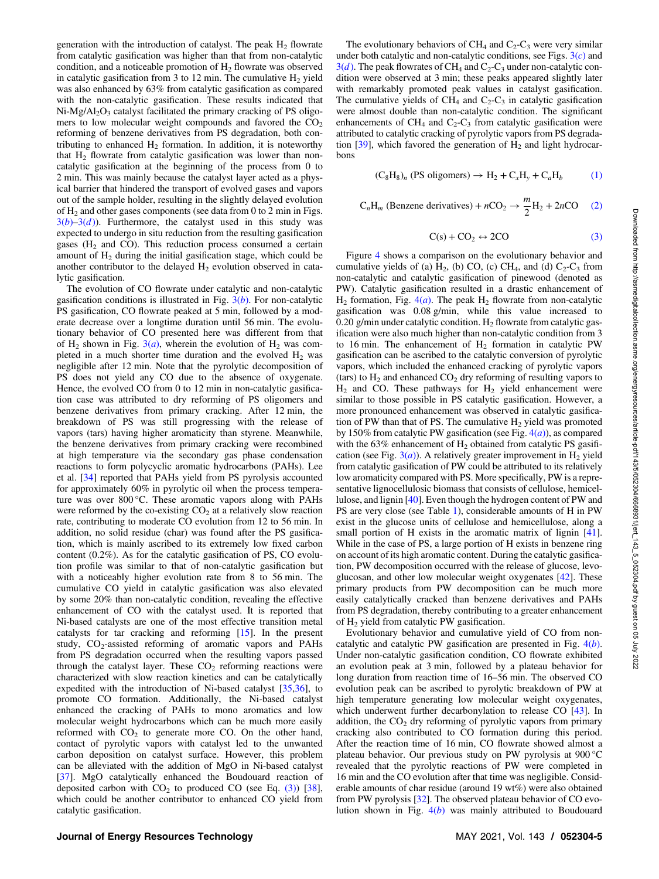<span id="page-4-0"></span>generation with the introduction of catalyst. The peak  $H_2$  flowrate from catalytic gasification was higher than that from non-catalytic condition, and a noticeable promotion of  $H_2$  flowrate was observed in catalytic gasification from 3 to 12 min. The cumulative  $H_2$  yield was also enhanced by 63% from catalytic gasification as compared with the non-catalytic gasification. These results indicated that  $Ni-Mg/Al<sub>2</sub>O<sub>3</sub>$  catalyst facilitated the primary cracking of PS oligomers to low molecular weight compounds and favored the  $CO<sub>2</sub>$ reforming of benzene derivatives from PS degradation, both contributing to enhanced  $H_2$  formation. In addition, it is noteworthy that  $H_2$  flowrate from catalytic gasification was lower than noncatalytic gasification at the beginning of the process from 0 to 2 min. This was mainly because the catalyst layer acted as a physical barrier that hindered the transport of evolved gases and vapors out of the sample holder, resulting in the slightly delayed evolution of  $H<sub>2</sub>$  and other gases components (see data from 0 to 2 min in Figs.  $3(b)-3(d)$  $3(b)-3(d)$ ). Furthermore, the catalyst used in this study was expected to undergo in situ reduction from the resulting gasification gases  $(H<sub>2</sub>$  and CO). This reduction process consumed a certain amount of  $H_2$  during the initial gasification stage, which could be another contributor to the delayed  $H<sub>2</sub>$  evolution observed in catalytic gasification.

The evolution of CO flowrate under catalytic and non-catalytic gasification conditions is illustrated in Fig.  $3(b)$  $3(b)$ . For non-catalytic PS gasification, CO flowrate peaked at 5 min, followed by a moderate decrease over a longtime duration until 56 min. The evolutionary behavior of CO presented here was different from that of H<sub>2</sub> shown in Fig.  $3(a)$  $3(a)$ , wherein the evolution of H<sub>2</sub> was completed in a much shorter time duration and the evolved  $H_2$  was negligible after 12 min. Note that the pyrolytic decomposition of PS does not yield any CO due to the absence of oxygenate. Hence, the evolved CO from 0 to 12 min in non-catalytic gasification case was attributed to dry reforming of PS oligomers and benzene derivatives from primary cracking. After 12 min, the breakdown of PS was still progressing with the release of vapors (tars) having higher aromaticity than styrene. Meanwhile, the benzene derivatives from primary cracking were recombined at high temperature via the secondary gas phase condensation reactions to form polycyclic aromatic hydrocarbons (PAHs). Lee et al. [\[34](#page-8-0)] reported that PAHs yield from PS pyrolysis accounted for approximately 60% in pyrolytic oil when the process temperature was over 800 °C. These aromatic vapors along with PAHs were reformed by the co-existing  $CO<sub>2</sub>$  at a relatively slow reaction rate, contributing to moderate CO evolution from 12 to 56 min. In addition, no solid residue (char) was found after the PS gasification, which is mainly ascribed to its extremely low fixed carbon content (0.2%). As for the catalytic gasification of PS, CO evolution profile was similar to that of non-catalytic gasification but with a noticeably higher evolution rate from 8 to 56 min. The cumulative CO yield in catalytic gasification was also elevated by some 20% than non-catalytic condition, revealing the effective enhancement of CO with the catalyst used. It is reported that Ni-based catalysts are one of the most effective transition metal catalysts for tar cracking and reforming [\[15](#page-8-0)]. In the present study,  $CO_2$ -assisted reforming of aromatic vapors and PAHs from PS degradation occurred when the resulting vapors passed through the catalyst layer. These  $CO<sub>2</sub>$  reforming reactions were characterized with slow reaction kinetics and can be catalytically expedited with the introduction of Ni-based catalyst [[35,](#page-8-0)[36\]](#page-9-0), to promote CO formation. Additionally, the Ni-based catalyst enhanced the cracking of PAHs to mono aromatics and low molecular weight hydrocarbons which can be much more easily reformed with  $CO<sub>2</sub>$  to generate more CO. On the other hand, contact of pyrolytic vapors with catalyst led to the unwanted carbon deposition on catalyst surface. However, this problem can be alleviated with the addition of MgO in Ni-based catalyst [[37\]](#page-9-0). MgO catalytically enhanced the Boudouard reaction of deposited carbon with  $CO<sub>2</sub>$  to produced CO (see Eq. (3)) [[38\]](#page-9-0), which could be another contributor to enhanced CO yield from catalytic gasification.

The evolutionary behaviors of  $CH<sub>4</sub>$  and  $C<sub>2</sub>-C<sub>3</sub>$  were very similar under both catalytic and non-catalytic conditions, see Figs.  $3(c)$  $3(c)$  and  $3(d)$  $3(d)$ . The peak flowrates of CH<sub>4</sub> and C<sub>2</sub>-C<sub>3</sub> under non-catalytic condition were observed at 3 min; these peaks appeared slightly later with remarkably promoted peak values in catalyst gasification. The cumulative yields of  $CH_4$  and  $C_2-C_3$  in catalytic gasification were almost double than non-catalytic condition. The significant enhancements of  $CH_4$  and  $C_2-C_3$  from catalytic gasification were attributed to catalytic cracking of pyrolytic vapors from PS degradation  $[39]$  $[39]$ , which favored the generation of  $H<sub>2</sub>$  and light hydrocarbons

$$
(\mathrm{C}_8\mathrm{H}_8)_n \text{ (PS oligomers)} \rightarrow \mathrm{H}_2 + \mathrm{C}_x\mathrm{H}_y + \mathrm{C}_a\mathrm{H}_b \tag{1}
$$

$$
C_nH_m
$$
 (Benzene derivatives) +  $nCO_2 \rightarrow \frac{m}{2}H_2 + 2nCO$  (2)

$$
C(s) + CO_2 \leftrightarrow 2CO \tag{3}
$$

Figure [4](#page-5-0) shows a comparison on the evolutionary behavior and cumulative yields of (a)  $H_2$ , (b) CO, (c) CH<sub>4</sub>, and (d)  $C_2$ -C<sub>3</sub> from non-catalytic and catalytic gasification of pinewood (denoted as PW). Catalytic gasification resulted in a drastic enhancement of  $H_2$  formation, Fig. [4\(](#page-5-0)*a*). The peak  $H_2$  flowrate from non-catalytic gasification was 0.08 g/min, while this value increased to 0.20 g/min under catalytic condition.  $H_2$  flowrate from catalytic gasification were also much higher than non-catalytic condition from 3 to 16 min. The enhancement of  $H_2$  formation in catalytic PW gasification can be ascribed to the catalytic conversion of pyrolytic vapors, which included the enhanced cracking of pyrolytic vapors (tars) to  $H_2$  and enhanced  $CO_2$  dry reforming of resulting vapors to  $H_2$  and CO. These pathways for  $H_2$  yield enhancement were similar to those possible in PS catalytic gasification. However, a more pronounced enhancement was observed in catalytic gasification of PW than that of PS. The cumulative  $H_2$  yield was promoted by 150% from catalytic PW gasification (see Fig.  $4(a)$  $4(a)$ ), as compared with the  $63\%$  enhancement of  $H_2$  obtained from catalytic PS gasification (see Fig.  $3(a)$  $3(a)$ ). A relatively greater improvement in H<sub>2</sub> yield from catalytic gasification of PW could be attributed to its relatively low aromaticity compared with PS. More specifically, PW is a representative lignocellulosic biomass that consists of cellulose, hemicellulose, and lignin [\[40](#page-9-0)]. Even though the hydrogen content of PW and PS are very close (see Table [1\)](#page-2-0), considerable amounts of H in PW exist in the glucose units of cellulose and hemicellulose, along a small portion of H exists in the aromatic matrix of lignin [[41\]](#page-9-0). While in the case of PS, a large portion of H exists in benzene ring on account of its high aromatic content. During the catalytic gasification, PW decomposition occurred with the release of glucose, levoglucosan, and other low molecular weight oxygenates [[42\]](#page-9-0). These primary products from PW decomposition can be much more easily catalytically cracked than benzene derivatives and PAHs from PS degradation, thereby contributing to a greater enhancement of H2 yield from catalytic PW gasification.

Evolutionary behavior and cumulative yield of CO from noncatalytic and catalytic PW gasification are presented in Fig.  $4(b)$  $4(b)$ . Under non-catalytic gasification condition, CO flowrate exhibited an evolution peak at 3 min, followed by a plateau behavior for long duration from reaction time of 16–56 min. The observed CO evolution peak can be ascribed to pyrolytic breakdown of PW at high temperature generating low molecular weight oxygenates, which underwent further decarbonylation to release CO [[43\]](#page-9-0). In addition, the  $CO<sub>2</sub>$  dry reforming of pyrolytic vapors from primary cracking also contributed to CO formation during this period. After the reaction time of 16 min, CO flowrate showed almost a plateau behavior. Our previous study on PW pyrolysis at 900 °C revealed that the pyrolytic reactions of PW were completed in 16 min and the CO evolution after that time was negligible. Considerable amounts of char residue (around 19 wt%) were also obtained from PW pyrolysis [[32](#page-8-0)]. The observed plateau behavior of CO evolution shown in Fig.  $4(b)$  $4(b)$  was mainly attributed to Boudouard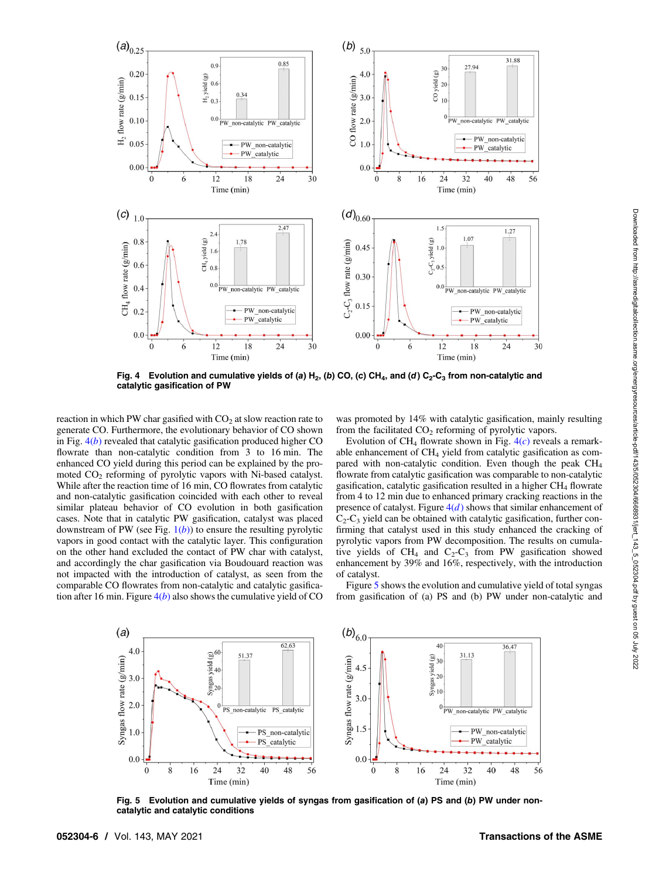<span id="page-5-0"></span>

Fig. 4 Evolution and cumulative yields of (a)  $H_2$ , (b) CO, (c) CH<sub>4</sub>, and (d) C<sub>2</sub>-C<sub>3</sub> from non-catalytic and catalytic gasification of PW

reaction in which PW char gasified with  $CO<sub>2</sub>$  at slow reaction rate to generate CO. Furthermore, the evolutionary behavior of CO shown in Fig.  $4(b)$  revealed that catalytic gasification produced higher CO flowrate than non-catalytic condition from 3 to 16 min. The enhanced CO yield during this period can be explained by the promoted  $CO<sub>2</sub>$  reforming of pyrolytic vapors with Ni-based catalyst. While after the reaction time of 16 min, CO flowrates from catalytic and non-catalytic gasification coincided with each other to reveal similar plateau behavior of CO evolution in both gasification cases. Note that in catalytic PW gasification, catalyst was placed downstream of PW (see Fig.  $1(b)$  $1(b)$ ) to ensure the resulting pyrolytic vapors in good contact with the catalytic layer. This configuration on the other hand excluded the contact of PW char with catalyst, and accordingly the char gasification via Boudouard reaction was not impacted with the introduction of catalyst, as seen from the comparable CO flowrates from non-catalytic and catalytic gasification after 16 min. Figure  $4(b)$  also shows the cumulative yield of CO

was promoted by 14% with catalytic gasification, mainly resulting from the facilitated  $CO<sub>2</sub>$  reforming of pyrolytic vapors.

Evolution of CH<sub>4</sub> flowrate shown in Fig.  $4(c)$  reveals a remarkable enhancement of  $CH<sub>4</sub>$  yield from catalytic gasification as compared with non-catalytic condition. Even though the peak CH<sub>4</sub> flowrate from catalytic gasification was comparable to non-catalytic gasification, catalytic gasification resulted in a higher  $CH<sub>4</sub>$  flowrate from 4 to 12 min due to enhanced primary cracking reactions in the presence of catalyst. Figure  $4(d)$  shows that similar enhancement of  $C_2$ - $C_3$  yield can be obtained with catalytic gasification, further confirming that catalyst used in this study enhanced the cracking of pyrolytic vapors from PW decomposition. The results on cumulative yields of  $CH_4$  and  $C_2-C_3$  from PW gasification showed enhancement by 39% and 16%, respectively, with the introduction of catalyst.

Figure 5 shows the evolution and cumulative yield of total syngas from gasification of (a) PS and (b) PW under non-catalytic and



Fig. 5 Evolution and cumulative yields of syngas from gasification of (a) PS and (b) PW under noncatalytic and catalytic conditions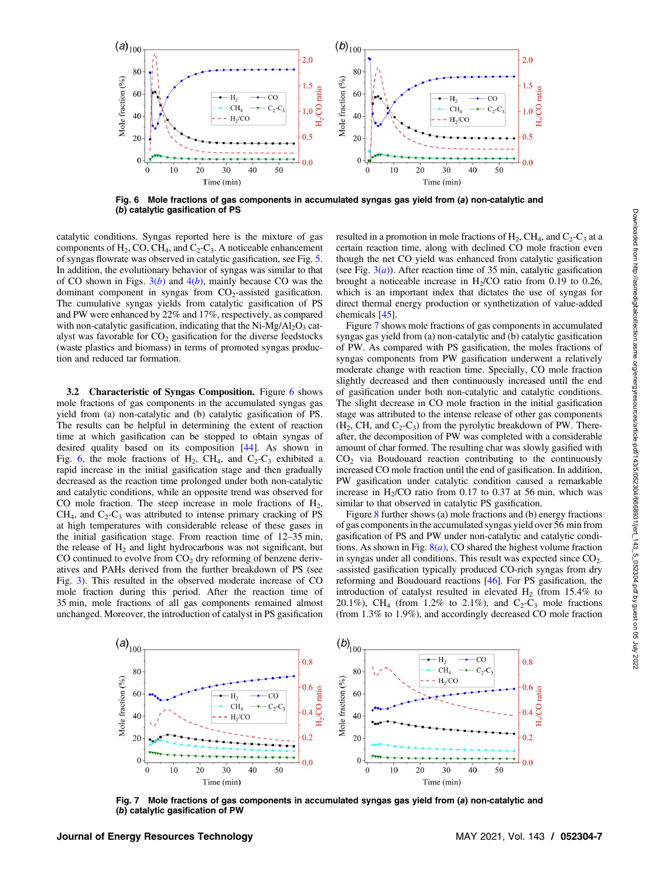

Fig. 6 Mole fractions of gas components in accumulated syngas gas yield from (a) non-catalytic and (b) catalytic gasification of PS

catalytic conditions. Syngas reported here is the mixture of gas components of  $H_2$ , CO, CH<sub>4</sub>, and C<sub>2</sub>-C<sub>3</sub>. A noticeable enhancement of syngas flowrate was observed in catalytic gasification, see Fig. [5.](#page-5-0) In addition, the evolutionary behavior of syngas was similar to that of CO shown in Figs.  $3(b)$  $3(b)$  and  $4(b)$  $4(b)$ , mainly because CO was the dominant component in syngas from  $CO<sub>2</sub>$ -assisted gasification. The cumulative syngas yields from catalytic gasification of PS and PW were enhanced by 22% and 17%, respectively, as compared with non-catalytic gasification, indicating that the  $Ni-Mg/Al_2O_3$  catalyst was favorable for  $CO<sub>2</sub>$  gasification for the diverse feedstocks (waste plastics and biomass) in terms of promoted syngas production and reduced tar formation.

3.2 Characteristic of Syngas Composition. Figure 6 shows mole fractions of gas components in the accumulated syngas gas yield from (a) non-catalytic and (b) catalytic gasification of PS. The results can be helpful in determining the extent of reaction time at which gasification can be stopped to obtain syngas of desired quality based on its composition [[44\]](#page-9-0). As shown in Fig. 6, the mole fractions of H<sub>2</sub>, CH<sub>4</sub>, and C<sub>2</sub>-C<sub>3</sub> exhibited a rapid increase in the initial gasification stage and then gradually decreased as the reaction time prolonged under both non-catalytic and catalytic conditions, while an opposite trend was observed for CO mole fraction. The steep increase in mole fractions of  $H_2$ ,  $CH<sub>4</sub>$ , and  $C<sub>2</sub>-C<sub>3</sub>$  was attributed to intense primary cracking of PS at high temperatures with considerable release of these gases in the initial gasification stage. From reaction time of 12–35 min, the release of  $H<sub>2</sub>$  and light hydrocarbons was not significant, but CO continued to evolve from  $CO<sub>2</sub>$  dry reforming of benzene derivatives and PAHs derived from the further breakdown of PS (see Fig. [3\)](#page-3-0). This resulted in the observed moderate increase of CO mole fraction during this period. After the reaction time of 35 min, mole fractions of all gas components remained almost unchanged. Moreover, the introduction of catalyst in PS gasification

resulted in a promotion in mole fractions of  $H_2$ , CH<sub>4</sub>, and C<sub>2</sub>-C<sub>3</sub> at a certain reaction time, along with declined CO mole fraction even though the net CO yield was enhanced from catalytic gasification (see Fig.  $3(a)$  $3(a)$ ). After reaction time of 35 min, catalytic gasification brought a noticeable increase in  $H<sub>2</sub>/CO$  ratio from 0.19 to 0.26, which is an important index that dictates the use of syngas for direct thermal energy production or synthetization of value-added chemicals [\[45](#page-9-0)].

Figure 7 shows mole fractions of gas components in accumulated syngas gas yield from (a) non-catalytic and (b) catalytic gasification of PW. As compared with PS gasification, the moles fractions of syngas components from PW gasification underwent a relatively moderate change with reaction time. Specially, CO mole fraction slightly decreased and then continuously increased until the end of gasification under both non-catalytic and catalytic conditions. The slight decrease in CO mole fraction in the initial gasification stage was attributed to the intense release of other gas components  $(H_2, CH, and C_2-C_3)$  from the pyrolytic breakdown of PW. Thereafter, the decomposition of PW was completed with a considerable amount of char formed. The resulting char was slowly gasified with  $CO<sub>2</sub>$  via Boudouard reaction contributing to the continuously increased CO mole fraction until the end of gasification. In addition, PW gasification under catalytic condition caused a remarkable increase in  $H<sub>2</sub>/CO$  ratio from 0.17 to 0.37 at 56 min, which was similar to that observed in catalytic PS gasification.

Figure [8](#page-7-0) further shows (a) mole fractions and (b) energy fractions of gas components in the accumulated syngas yield over 56 min from gasification of PS and PW under non-catalytic and catalytic conditions. As shown in Fig.  $8(a)$  $8(a)$ , CO shared the highest volume fraction in syngas under all conditions. This result was expected since  $CO<sub>2</sub>$ . -assisted gasification typically produced CO-rich syngas from dry reforming and Boudouard reactions [\[46](#page-9-0)]. For PS gasification, the introduction of catalyst resulted in elevated  $H_2$  (from 15.4% to 20.1%), CH<sub>4</sub> (from 1.2% to 2.1%), and  $C_2-C_3$  mole fractions (from 1.3% to 1.9%), and accordingly decreased CO mole fraction



Fig. 7 Mole fractions of gas components in accumulated syngas gas yield from (a) non-catalytic and (b) catalytic gasification of PW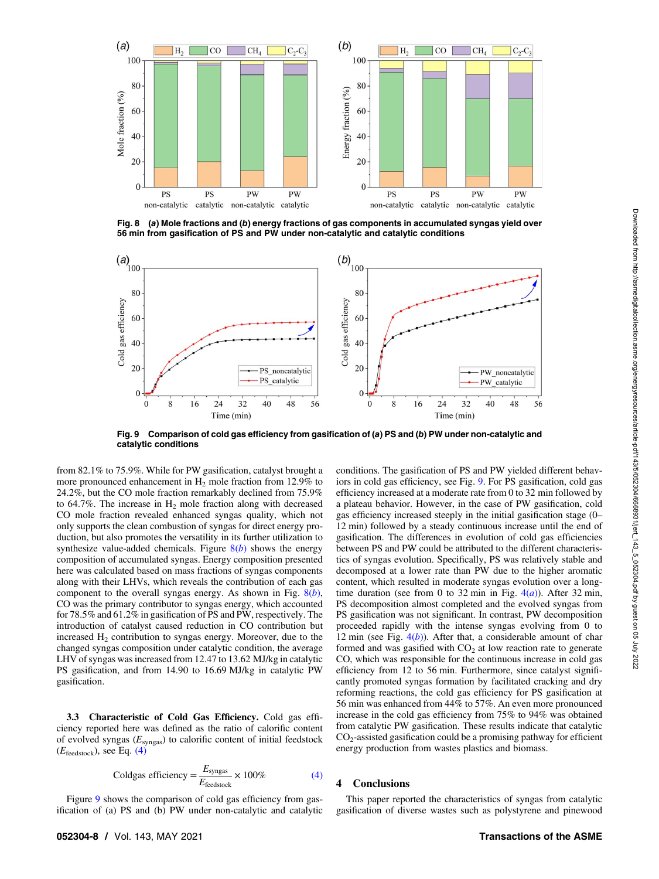<span id="page-7-0"></span>

Fig. 8 (a) Mole fractions and (b) energy fractions of gas components in accumulated syngas yield over 56 min from gasification of PS and PW under non-catalytic and catalytic conditions



Fig. 9 Comparison of cold gas efficiency from gasification of (a) PS and (b) PW under non-catalytic and catalytic conditions

from 82.1% to 75.9%. While for PW gasification, catalyst brought a more pronounced enhancement in  $H_2$  mole fraction from 12.9% to 24.2%, but the CO mole fraction remarkably declined from 75.9% to 64.7%. The increase in  $H_2$  mole fraction along with decreased CO mole fraction revealed enhanced syngas quality, which not only supports the clean combustion of syngas for direct energy production, but also promotes the versatility in its further utilization to synthesize value-added chemicals. Figure  $8(b)$  shows the energy composition of accumulated syngas. Energy composition presented here was calculated based on mass fractions of syngas components along with their LHVs, which reveals the contribution of each gas component to the overall syngas energy. As shown in Fig.  $8(b)$ , CO was the primary contributor to syngas energy, which accounted for 78.5% and 61.2% in gasification of PS and PW, respectively. The introduction of catalyst caused reduction in CO contribution but increased  $H<sub>2</sub>$  contribution to syngas energy. Moreover, due to the changed syngas composition under catalytic condition, the average LHV of syngas was increased from 12.47 to 13.62 MJ/kg in catalytic PS gasification, and from 14.90 to 16.69 MJ/kg in catalytic PW gasification.

3.3 Characteristic of Cold Gas Efficiency. Cold gas efficiency reported here was defined as the ratio of calorific content of evolved syngas  $(E_{\text{syngas}})$  to calorific content of initial feedstock  $(E_{\text{feedback}})$ , see Eq. (4)

$$
Coldgas efficiency = \frac{E_{\text{syngas}}}{E_{\text{feedback}}} \times 100\%
$$
\n(4)

Figure 9 shows the comparison of cold gas efficiency from gasification of (a) PS and (b) PW under non-catalytic and catalytic conditions. The gasification of PS and PW yielded different behaviors in cold gas efficiency, see Fig. 9. For PS gasification, cold gas efficiency increased at a moderate rate from 0 to 32 min followed by a plateau behavior. However, in the case of PW gasification, cold gas efficiency increased steeply in the initial gasification stage (0– 12 min) followed by a steady continuous increase until the end of gasification. The differences in evolution of cold gas efficiencies between PS and PW could be attributed to the different characteristics of syngas evolution. Specifically, PS was relatively stable and decomposed at a lower rate than PW due to the higher aromatic content, which resulted in moderate syngas evolution over a longtime duration (see from 0 to 32 min in Fig.  $4(a)$  $4(a)$ ). After 32 min, PS decomposition almost completed and the evolved syngas from PS gasification was not significant. In contrast, PW decomposition proceeded rapidly with the intense syngas evolving from 0 to 12 min (see Fig.  $4(b)$  $4(b)$ ). After that, a considerable amount of char formed and was gasified with  $CO<sub>2</sub>$  at low reaction rate to generate CO, which was responsible for the continuous increase in cold gas efficiency from 12 to 56 min. Furthermore, since catalyst significantly promoted syngas formation by facilitated cracking and dry reforming reactions, the cold gas efficiency for PS gasification at 56 min was enhanced from 44% to 57%. An even more pronounced increase in the cold gas efficiency from 75% to 94% was obtained from catalytic PW gasification. These results indicate that catalytic  $CO<sub>2</sub>$ -assisted gasification could be a promising pathway for efficient energy production from wastes plastics and biomass.

## 4 Conclusions

This paper reported the characteristics of syngas from catalytic gasification of diverse wastes such as polystyrene and pinewood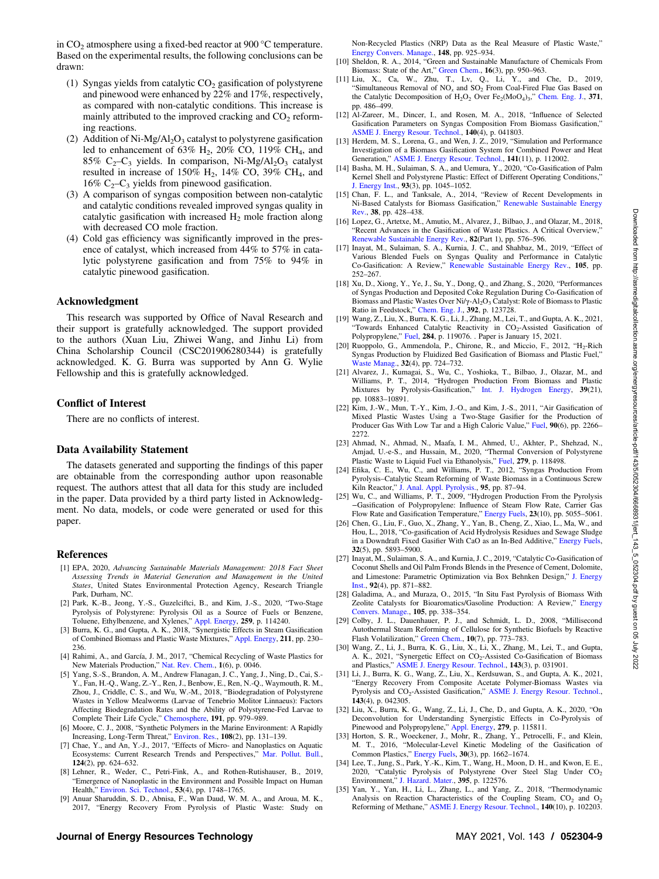<span id="page-8-0"></span>in  $CO<sub>2</sub>$  atmosphere using a fixed-bed reactor at 900 °C temperature. Based on the experimental results, the following conclusions can be drawn:

- (1) Syngas yields from catalytic  $CO<sub>2</sub>$  gasification of polystyrene and pinewood were enhanced by 22% and 17%, respectively, as compared with non-catalytic conditions. This increase is mainly attributed to the improved cracking and  $CO<sub>2</sub>$  reforming reactions.
- (2) Addition of  $Ni-Mg/Al<sub>2</sub>O<sub>3</sub>$  catalyst to polystyrene gasification led to enhancement of  $63\%$  H<sub>2</sub>,  $20\%$  CO,  $119\%$  CH<sub>4</sub>, and 85%  $C_2-C_3$  yields. In comparison, Ni-Mg/Al<sub>2</sub>O<sub>3</sub> catalyst resulted in increase of  $150\%$  H<sub>2</sub>,  $14\%$  CO,  $39\%$  CH<sub>4</sub>, and 16%  $C_2-C_3$  yields from pinewood gasification.
- (3) A comparison of syngas composition between non-catalytic and catalytic conditions revealed improved syngas quality in catalytic gasification with increased  $H_2$  mole fraction along with decreased CO mole fraction.
- (4) Cold gas efficiency was significantly improved in the presence of catalyst, which increased from 44% to 57% in catalytic polystyrene gasification and from 75% to 94% in catalytic pinewood gasification.

### Acknowledgment

This research was supported by Office of Naval Research and their support is gratefully acknowledged. The support provided to the authors (Xuan Liu, Zhiwei Wang, and Jinhu Li) from China Scholarship Council (CSC201906280344) is gratefully acknowledged. K. G. Burra was supported by Ann G. Wylie Fellowship and this is gratefully acknowledged.

## Conflict of Interest

There are no conflicts of interest.

### Data Availability Statement

The datasets generated and supporting the findings of this paper are obtainable from the corresponding author upon reasonable request. The authors attest that all data for this study are included in the paper. Data provided by a third party listed in Acknowledgment. No data, models, or code were generated or used for this paper.

### References

- [1] EPA, 2020, Advancing Sustainable Materials Management: 2018 Fact Sheet Assessing Trends in Material Generation and Management in the United States, United States Environmental Protection Agency, Research Triangle Park, Durham, NC.
- [2] Park, K.-B., Jeong, Y.-S., Guzelciftci, B., and Kim, J.-S., 2020, "Two-Stage Pyrolysis of Polystyrene: Pyrolysis Oil as a Source of Fuels or Benzene, Toluene, Ethylbenzene, and Xylenes," [Appl. Energy](https://dx.doi.org/10.1016/j.apenergy.2019.114240), 259, p. 114240.
- [3] Burra, K. G., and Gupta, A. K., 2018, "Synergistic Effects in Steam Gasification of Combined Biomass and Plastic Waste Mixtures," [Appl. Energy](https://dx.doi.org/10.1016/j.apenergy.2017.10.130), 211, pp. 230– 236.
- [4] Rahimi, A., and García, J. M., 2017, "Chemical Recycling of Waste Plastics for
- New Materials Production," [Nat. Rev. Chem.](http://dx.doi.org/10.1038/s41570-017-0046), 1(6), p. 0046. [5] Yang, S.-S., Brandon, A. M., Andrew Flanagan, J. C., Yang, J., Ning, D., Cai, S.- Y., Fan, H.-Q., Wang, Z.-Y., Ren, J., Benbow, E., Ren, N.-Q., Waymouth, R. M., Zhou, J., Criddle, C. S., and Wu, W.-M., 2018, "Biodegradation of Polystyrene Wastes in Yellow Mealworms (Larvae of Tenebrio Molitor Linnaeus): Factors Affecting Biodegradation Rates and the Ability of Polystyrene-Fed Larvae to Complete Their Life Cycle," [Chemosphere](https://dx.doi.org/10.1016/j.chemosphere.2017.10.117), 191, pp. 979–989.
- [6] Moore, C. J., 2008, "Synthetic Polymers in the Marine Environment: A Rapidly Increasing, Long-Term Threat," [Environ. Res.](http://dx.doi.org/10.1016/j.envres.2008.07.025), 108(2), pp. 131–139.
- [7] Chae, Y., and An, Y.-J., 2017, "Effects of Micro- and Nanoplastics on Aquatic Ecosystems: Current Research Trends and Perspectives," [Mar. Pollut. Bull.](http://dx.doi.org/10.1016/j.marpolbul.2017.01.070), 124(2), pp. 624–632.
- [8] Lehner, R., Weder, C., Petri-Fink, A., and Rothen-Rutishauser, B., 2019, "Emergence of Nanoplastic in the Environment and Possible Impact on Human Health," [Environ. Sci. Technol.,](http://dx.doi.org/10.1021/acs.est.8b05512) 53(4), pp. 1748–1765.
- [9] Anuar Sharuddin, S. D., Abnisa, F., Wan Daud, W. M. A., and Aroua, M. K., 2017, "Energy Recovery From Pyrolysis of Plastic Waste: Study on

Non-Recycled Plastics (NRP) Data as the Real Measure of Plastic Waste," [Energy Convers. Manage.,](https://dx.doi.org/10.1016/j.enconman.2017.06.046) 148, pp. 925–934.

- [10] Sheldon, R. A., 2014, "Green and Sustainable Manufacture of Chemicals From Biomass: State of the Art," [Green Chem.,](http://dx.doi.org/10.1039/C3GC41935E) 16(3), pp. 950-963.
- [11] Liu, X., Ca, W., Zhu, T., Lv, Q., Li, Y., and Che, D., 2019, "Simultaneous Removal of  $NO<sub>x</sub>$  and  $SO<sub>2</sub>$  From Coal-Fired Flue Gas Based on the Catalytic Decomposition of H<sub>2</sub>O<sub>2</sub> Over Fe<sub>2</sub>(MoO<sub>4</sub>)<sub>3</sub>," [Chem. Eng. J.](https://dx.doi.org/10.1016/j.cej.2019.04.028), 371, pp. 486–499.
- [12] Al-Zareer, M., Dincer, I., and Rosen, M. A., 2018, "Influence of Selected Gasification Parameters on Syngas Composition From Biomass Gasification,"<br>[ASME J. Energy Resour. Technol.,](http://dx.doi.org/10.1115/1.4039601) 140(4), p. 041803.
- [13] Herdem, M. S., Lorena, G., and Wen, J. Z., 2019, "Simulation and Performance Investigation of a Biomass Gasification System for Combined Power and Heat Generation," [ASME J. Energy Resour. Technol.](http://dx.doi.org/10.1115/1.4043697), 141(11), p. 112002.
- [14] Basha, M. H., Sulaiman, S. A., and Uemura, Y., 2020, "Co-Gasification of Palm Kernel Shell and Polystyrene Plastic: Effect of Different Operating Conditions," [J. Energy Inst.](http://dx.doi.org/10.1016/j.joei.2019.09.005), 93(3), pp. 1045–1052.
- [15] Chan, F. L., and Tanksale, A., 2014, "Review of Recent Developments in Ni-Based Catalysts for Biomass Gasification," [Renewable Sustainable Energy](https://dx.doi.org/10.1016/j.rser.2014.06.011) [Rev.](https://dx.doi.org/10.1016/j.rser.2014.06.011), 38, pp. 428–438.
- [16] Lopez, G., Artetxe, M., Amutio, M., Alvarez, J., Bilbao, J., and Olazar, M., 2018, "Recent Advances in the Gasification of Waste Plastics. A Critical Overview," [Renewable Sustainable Energy Rev.,](https://dx.doi.org/10.1016/j.rser.2017.09.032) 82(Part 1), pp. 576–596.
- [17] Inayat, M., Sulaiman, S. A., Kurnia, J. C., and Shahbaz, M., 2019, "Effect of Various Blended Fuels on Syngas Quality and Performance in Catalytic Co-Gasification: A Review," [Renewable Sustainable Energy Rev.,](https://dx.doi.org/10.1016/j.rser.2019.01.059) 105, pp. 252–267.
- [18] Xu, D., Xiong, Y., Ye, J., Su, Y., Dong, Q., and Zhang, S., 2020, "Performances of Syngas Production and Deposited Coke Regulation During Co-Gasification of Biomass and Plastic Wastes Over Ni/γ-Al2O3 Catalyst: Role of Biomass to Plastic Ratio in Feedstock," [Chem. Eng. J.,](https://dx.doi.org/10.1016/j.cej.2019.123728) 392, p. 123728.
- [19] Wang, Z., Liu, X., Burra, K. G., Li, J., Zhang, M., Lei, T., and Gupta, A. K., 2021, "Towards Enhanced Catalytic Reactivity in CO<sub>2</sub>-Assisted Gasification of Polypropylene," [Fuel,](https://dx.doi.org/10.1016/j.fuel.2020.119076) 284, p. 119076. . Paper is January 15, 2021.
- [20] Ruoppolo, G., Ammendola, P., Chirone, R., and Miccio, F., 2012, " $H_2$ -Rich Syngas Production by Fluidized Bed Gasification of Biomass and Plastic Fuel," [Waste Manag.,](http://dx.doi.org/10.1016/j.wasman.2011.12.004) 32(4), pp. 724–732.
- [21] Alvarez, J., Kumagai, S., Wu, C., Yoshioka, T., Bilbao, J., Olazar, M., and Williams, P. T., 2014, "Hydrogen Production From Biomass and Plastic Mixtures by Pyrolysis-Gasification," [Int. J. Hydrogen Energy,](http://dx.doi.org/10.1016/j.ijhydene.2014.04.189) 39(21), pp. 10883–10891.
- [22] Kim, J.-W., Mun, T.-Y., Kim, J.-O., and Kim, J.-S., 2011, "Air Gasification of Mixed Plastic Wastes Using a Two-Stage Gasifier for the Production of Producer Gas With Low Tar and a High Caloric Value," [Fuel,](http://dx.doi.org/10.1016/j.fuel.2011.02.021) 90(6), pp. 2266– 2272.
- [23] Ahmad, N., Ahmad, N., Maafa, I. M., Ahmed, U., Akhter, P., Shehzad, N., Amjad, U.-e-S., and Hussain, M., 2020, "Thermal Conversion of Polystyrene Plastic Waste to Liquid Fuel via Ethanolysis," [Fuel,](https://dx.doi.org/10.1016/j.fuel.2020.118498) 279, p. 118498.
- [24] Efika, C. E., Wu, C., and Williams, P. T., 2012, "Syngas Production From Pyrolysis–Catalytic Steam Reforming of Waste Biomass in a Continuous Screw Kiln Reactor," [J. Anal. Appl. Pyrolysis.](https://dx.doi.org/10.1016/j.jaap.2012.01.010), 95, pp. 87–94.<br>[25] Wu, C., and Williams, P. T., 2009, "Hydrogen Production From the Pyrolysis
- −Gasification of Polypropylene: Influence of Steam Flow Rate, Carrier Gas Flow Rate and Gasification Temperature," [Energy Fuels,](http://dx.doi.org/10.1021/ef900278w) 23(10), pp. 5055–5061.
- [26] Chen, G., Liu, F., Guo, X., Zhang, Y., Yan, B., Cheng, Z., Xiao, L., Ma, W., and Hou, L., 2018, "Co-gasification of Acid Hydrolysis Residues and Sewage Sludge in a Downdraft Fixed Gasifier With CaO as an In-Bed Additive," [Energy Fuels](http://dx.doi.org/10.1021/acs.energyfuels.7b03960), 32(5), pp. 5893–5900.
- [27] Inayat, M., Sulaiman, S. A., and Kurnia, J. C., 2019, "Catalytic Co-Gasification of Coconut Shells and Oil Palm Fronds Blends in the Presence of Cement, Dolomite, and Limestone: Parametric Optimization via Box Behnken Design," [J. Energy](http://dx.doi.org/10.1016/j.joei.2018.08.002) [Inst.](http://dx.doi.org/10.1016/j.joei.2018.08.002), 92(4), pp. 871–882.
- [28] Galadima, A., and Muraza, O., 2015, "In Situ Fast Pyrolysis of Biomass With Zeolite Catalysts for Bioaromatics/Gasoline Production: A Review," [Energy](https://dx.doi.org/10.1016/j.enconman.2015.07.078) [Convers. Manage.,](https://dx.doi.org/10.1016/j.enconman.2015.07.078) 105, pp. 338–354.
- [29] Colby, J. L., Dauenhauer, P. J., and Schmidt, L. D., 2008, "Millisecond Autothermal Steam Reforming of Cellulose for Synthetic Biofuels by Reactive Flash Volatilization," [Green Chem.,](http://dx.doi.org/10.1039/b804691c) 10(7), pp. 773–783.
- [30] Wang, Z., Li, J., Burra, K. G., Liu, X., Li, X., Zhang, M., Lei, T., and Gupta, A. K., 2021, "Synergetic Effect on CO<sub>2</sub>-Assisted Co-Gasification of Biomass<br>and Plastics," [ASME J. Energy Resour. Technol.,](https://doi.org/10.1115/1.4048062) **143**(3), p. 031901.
- [31] Li, J., Burra, K. G., Wang, Z., Liu, X., Kerdsuwan, S., and Gupta, A. K., 2021, "Energy Recovery From Composite Acetate Polymer-Biomass Wastes via Pyrolysis and CO<sub>2</sub>-Assisted Gasification," [ASME J. Energy Resour. Technol.](https://doi.org/10.1115/1.4048245), 143(4), p. 042305.
- [32] Liu, X., Burra, K. G., Wang, Z., Li, J., Che, D., and Gupta, A. K., 2020, "On Deconvolution for Understanding Synergistic Effects in Co-Pyrolysis of Pinewood and Polypropylene," [Appl. Energy,](https://dx.doi.org/10.1016/j.apenergy.2020.115811) 279, p. 115811.
- [33] Horton, S. R., Woeckener, J., Mohr, R., Zhang, Y., Petrocelli, F., and Klein, M. T., 2016, "Molecular-Level Kinetic Modeling of the Gasification of Common Plastics," [Energy Fuels](http://dx.doi.org/10.1021/acs.energyfuels.5b02047), 30(3), pp. 1662–1674.
- [34] Lee, T., Jung, S., Park, Y.-K., Kim, T., Wang, H., Moon, D. H., and Kwon, E. E., 2020, "Catalytic Pyrolysis of Polystyrene Over Steel Slag Under CO<sub>2</sub> Environment," [J. Hazard. Mater.,](https://dx.doi.org/10.1016/j.jhazmat.2020.122576) 395, p. 122576.
- [35] Yan, Y., Yan, H., Li, L., Zhang, L., and Yang, Z., 2018, "Thermodynamic Analysis on Reaction Characteristics of the Coupling Steam,  $CO<sub>2</sub>$  and  $O<sub>2</sub>$ Reforming of Methane," [ASME J. Energy Resour. Technol.](https://doi.org/10.1115/1.4040074), 140(10), p. 102203.